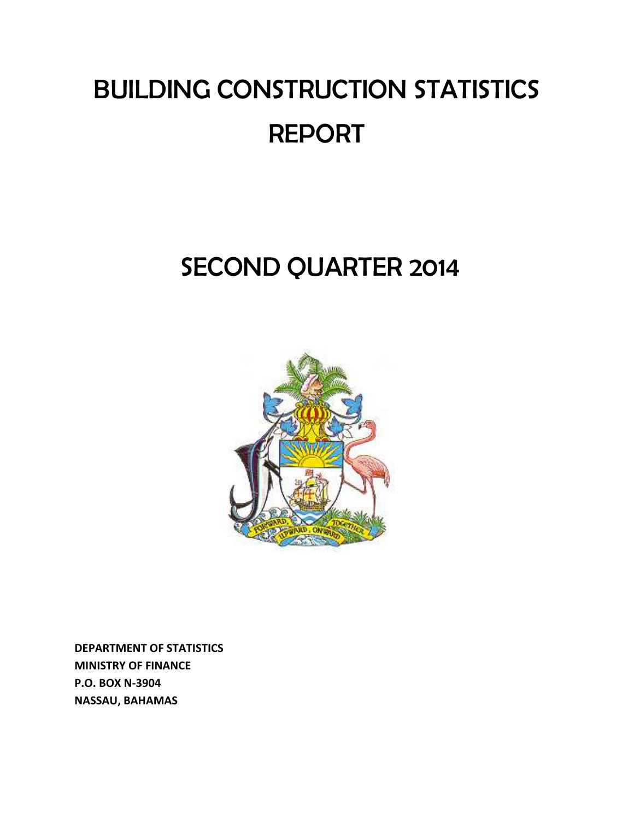# BUILDING CONSTRUCTION STATISTICS REPORT

## SECOND QUARTER 2014



**DEPARTMENT OF STATISTICS MINISTRY OF FINANCE P.O. BOX N‐3904 NASSAU, BAHAMAS**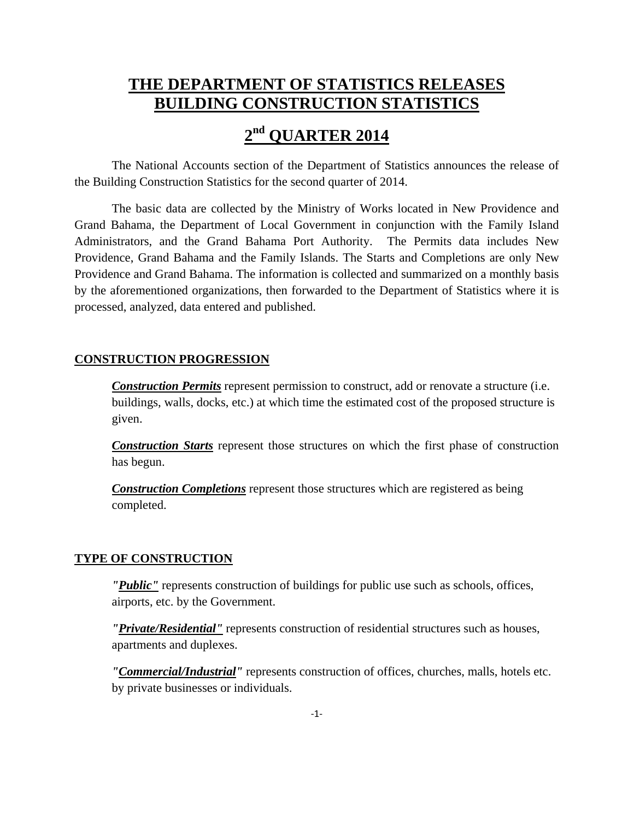### **THE DEPARTMENT OF STATISTICS RELEASES BUILDING CONSTRUCTION STATISTICS**

## **2nd QUARTER 2014**

The National Accounts section of the Department of Statistics announces the release of the Building Construction Statistics for the second quarter of 2014.

The basic data are collected by the Ministry of Works located in New Providence and Grand Bahama, the Department of Local Government in conjunction with the Family Island Administrators, and the Grand Bahama Port Authority. The Permits data includes New Providence, Grand Bahama and the Family Islands. The Starts and Completions are only New Providence and Grand Bahama. The information is collected and summarized on a monthly basis by the aforementioned organizations, then forwarded to the Department of Statistics where it is processed, analyzed, data entered and published.

#### **CONSTRUCTION PROGRESSION**

**Construction Permits** represent permission to construct, add or renovate a structure (i.e. buildings, walls, docks, etc.) at which time the estimated cost of the proposed structure is given.

*Construction Starts* represent those structures on which the first phase of construction has begun.

*Construction Completions* represent those structures which are registered as being completed.

#### **TYPE OF CONSTRUCTION**

*"Public"* represents construction of buildings for public use such as schools, offices, airports, etc. by the Government.

*"Private/Residential"* represents construction of residential structures such as houses, apartments and duplexes.

*"Commercial/Industrial"* represents construction of offices, churches, malls, hotels etc. by private businesses or individuals.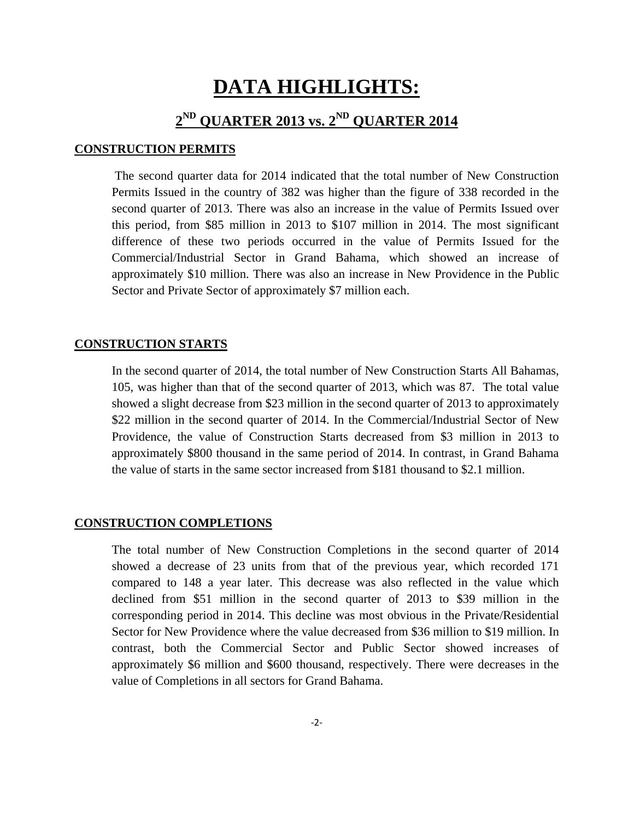## **DATA HIGHLIGHTS:**

## **2ND QUARTER 2013 vs. 2ND QUARTER 2014**

#### **CONSTRUCTION PERMITS**

 The second quarter data for 2014 indicated that the total number of New Construction Permits Issued in the country of 382 was higher than the figure of 338 recorded in the second quarter of 2013. There was also an increase in the value of Permits Issued over this period, from \$85 million in 2013 to \$107 million in 2014. The most significant difference of these two periods occurred in the value of Permits Issued for the Commercial/Industrial Sector in Grand Bahama, which showed an increase of approximately \$10 million. There was also an increase in New Providence in the Public Sector and Private Sector of approximately \$7 million each.

#### **CONSTRUCTION STARTS**

In the second quarter of 2014, the total number of New Construction Starts All Bahamas, 105, was higher than that of the second quarter of 2013, which was 87. The total value showed a slight decrease from \$23 million in the second quarter of 2013 to approximately \$22 million in the second quarter of 2014. In the Commercial/Industrial Sector of New Providence, the value of Construction Starts decreased from \$3 million in 2013 to approximately \$800 thousand in the same period of 2014. In contrast, in Grand Bahama the value of starts in the same sector increased from \$181 thousand to \$2.1 million.

#### **CONSTRUCTION COMPLETIONS**

The total number of New Construction Completions in the second quarter of 2014 showed a decrease of 23 units from that of the previous year, which recorded 171 compared to 148 a year later. This decrease was also reflected in the value which declined from \$51 million in the second quarter of 2013 to \$39 million in the corresponding period in 2014. This decline was most obvious in the Private/Residential Sector for New Providence where the value decreased from \$36 million to \$19 million. In contrast, both the Commercial Sector and Public Sector showed increases of approximately \$6 million and \$600 thousand, respectively. There were decreases in the value of Completions in all sectors for Grand Bahama.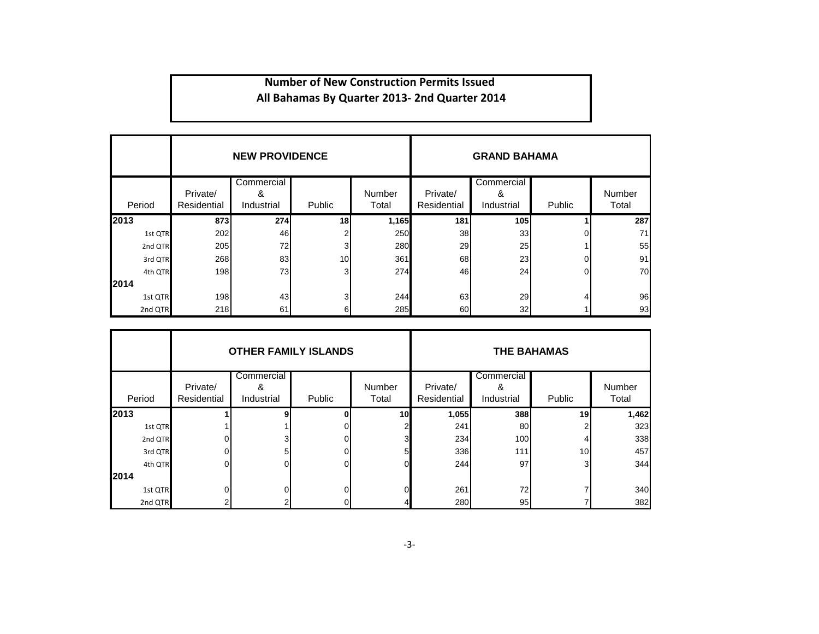#### **Number of New Construction Permits Issued All Bahamas By Quarter 2013‐ 2nd Quarter 2014**

|         |                         | <b>NEW PROVIDENCE</b>         |                 |                 | <b>GRAND BAHAMA</b>     |                               |          |                 |  |  |  |  |
|---------|-------------------------|-------------------------------|-----------------|-----------------|-------------------------|-------------------------------|----------|-----------------|--|--|--|--|
| Period  | Private/<br>Residential | Commercial<br>&<br>Industrial | Public          | Number<br>Total | Private/<br>Residential | Commercial<br>&<br>Industrial | Public   | Number<br>Total |  |  |  |  |
| 2013    | 873                     | 274                           | 18              | 1,165           | 181                     | 105                           |          | 287             |  |  |  |  |
| 1st QTR | 202                     | 46                            |                 | 250             | 38                      | 33                            | Ωl       | 71              |  |  |  |  |
| 2nd QTR | 205                     | 72                            | $\overline{3}$  | 280             | 29                      | 25                            |          | 55              |  |  |  |  |
| 3rd QTR | 268                     | 83                            | 10 <sup>1</sup> | 361             | 68                      | 23                            | Οl       | 91              |  |  |  |  |
| 4th QTR | 198                     | 73                            | 31              | 274             | 46I                     | 24                            | $\Omega$ | 70              |  |  |  |  |
| 2014    |                         |                               |                 |                 |                         |                               |          |                 |  |  |  |  |
| 1st QTR | 198                     | 43                            | 3               | 244             | 63                      | 29                            |          | 96              |  |  |  |  |
| 2nd QTR | 218                     | 61                            | 61              | 285             | 60                      | 32                            |          | 93              |  |  |  |  |

|         |                         | <b>OTHER FAMILY ISLANDS</b>   |        |                 | <b>THE BAHAMAS</b>      |                               |                 |                 |  |  |  |  |
|---------|-------------------------|-------------------------------|--------|-----------------|-------------------------|-------------------------------|-----------------|-----------------|--|--|--|--|
| Period  | Private/<br>Residential | Commercial<br>&<br>Industrial | Public | Number<br>Total | Private/<br>Residential | Commercial<br>&<br>Industrial | Public          | Number<br>Total |  |  |  |  |
| 2013    |                         |                               |        | 10              | 1,055                   | 388                           | 19              | 1,462           |  |  |  |  |
| 1st QTR |                         |                               |        | 2               | 241                     | 80                            |                 | 323             |  |  |  |  |
| 2nd QTR |                         | 3                             |        | 3               | 234                     | 100                           |                 | 338             |  |  |  |  |
| 3rd QTR |                         | 5                             |        | 5               | 336                     | 111                           | 10 <sup>1</sup> | 457             |  |  |  |  |
| 4th QTR |                         |                               |        | $\Omega$        | 244                     | 97                            | 31              | 344             |  |  |  |  |
| 2014    |                         |                               |        |                 |                         |                               |                 |                 |  |  |  |  |
| 1st QTR |                         |                               |        |                 | 261                     | 72                            |                 | 340             |  |  |  |  |
| 2nd QTR |                         |                               |        |                 |                         | 280<br>95                     |                 |                 |  |  |  |  |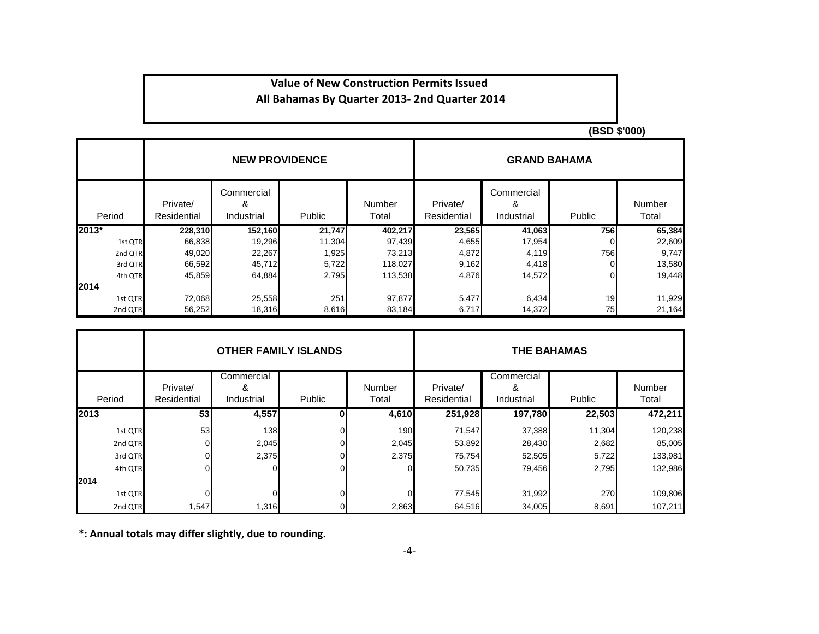#### **Value of New Construction Permits Issued All Bahamas By Quarter 2013‐ 2nd Quarter 2014**

**(BSD \$'000)**

|         |                         | <b>NEW PROVIDENCE</b>         |        |                        | <b>GRAND BAHAMA</b>     |                               |        |                 |  |  |  |  |
|---------|-------------------------|-------------------------------|--------|------------------------|-------------------------|-------------------------------|--------|-----------------|--|--|--|--|
| Period  | Private/<br>Residential | Commercial<br>&<br>Industrial | Public | <b>Number</b><br>Total | Private/<br>Residential | Commercial<br>&<br>Industrial | Public | Number<br>Total |  |  |  |  |
| $2013*$ | 228,310                 | 152,160                       | 21,747 | 402,217                | 23,565                  | 41,063                        | 756    | 65,384          |  |  |  |  |
| 1st QTR | 66,838                  | 19,296                        | 11,304 | 97,439                 | 4,655                   | 17,954                        |        | 22,609          |  |  |  |  |
| 2nd QTR | 49,020                  | 22,267                        | 1,925  | 73,213                 | 4,872                   | 4,119                         | 756    | 9,747           |  |  |  |  |
| 3rd QTR | 66,592                  | 45,712                        | 5,722  | 118,027                | 9,162                   | 4,418                         |        | 13,580          |  |  |  |  |
| 4th QTR | 45,859                  | 64,884                        | 2,795  | 113,538                | 4,876                   | 14,572                        |        | 19,448          |  |  |  |  |
| 12014   |                         |                               |        |                        |                         |                               |        |                 |  |  |  |  |
| 1st QTR | 72,068                  | 25,558                        | 251    | 97,877                 | 5,477                   | 6,434                         | 19     | 11,929          |  |  |  |  |
| 2nd QTR | 56,252                  | 18,316                        | 8,616  | 83,184                 | 6,717                   | 14,372                        | 75     | 21,164          |  |  |  |  |

|         |                         | <b>OTHER FAMILY ISLANDS</b>   |               |                 | <b>THE BAHAMAS</b>      |                               |        |                        |  |  |  |  |
|---------|-------------------------|-------------------------------|---------------|-----------------|-------------------------|-------------------------------|--------|------------------------|--|--|--|--|
| Period  | Private/<br>Residential | Commercial<br>&<br>Industrial | <b>Public</b> | Number<br>Total | Private/<br>Residential | Commercial<br>&<br>Industrial | Public | <b>Number</b><br>Total |  |  |  |  |
| 2013    | 53                      | 4,557                         |               | 4,610           | 251,928                 | 197,780                       | 22,503 | 472,211                |  |  |  |  |
| 1st QTR | 53                      | 138                           |               | 190             | 71,547                  | 37,388                        | 11,304 | 120,238                |  |  |  |  |
| 2nd QTR |                         | 2,045                         |               | 2,045           | 53,892                  | 28,430                        | 2,682  | 85,005                 |  |  |  |  |
| 3rd QTR |                         | 2,375                         |               | 2,375           | 75,754                  | 52,505                        | 5,722  | 133,981                |  |  |  |  |
| 4th QTR |                         | 0                             |               | ΩI              | 50,735                  | 79,456                        | 2,795  | 132,986                |  |  |  |  |
| 2014    |                         |                               |               |                 |                         |                               |        |                        |  |  |  |  |
| 1st QTR |                         |                               |               | 0.              | 77,545                  | 31,992                        | 270    | 109,806                |  |  |  |  |
| 2nd QTR | 1,547                   | 1,316                         |               | 2,863           | 64,516                  | 34,005                        | 8,691  | 107,211                |  |  |  |  |

**\*: Annual totals may differ slightly, due to rounding.**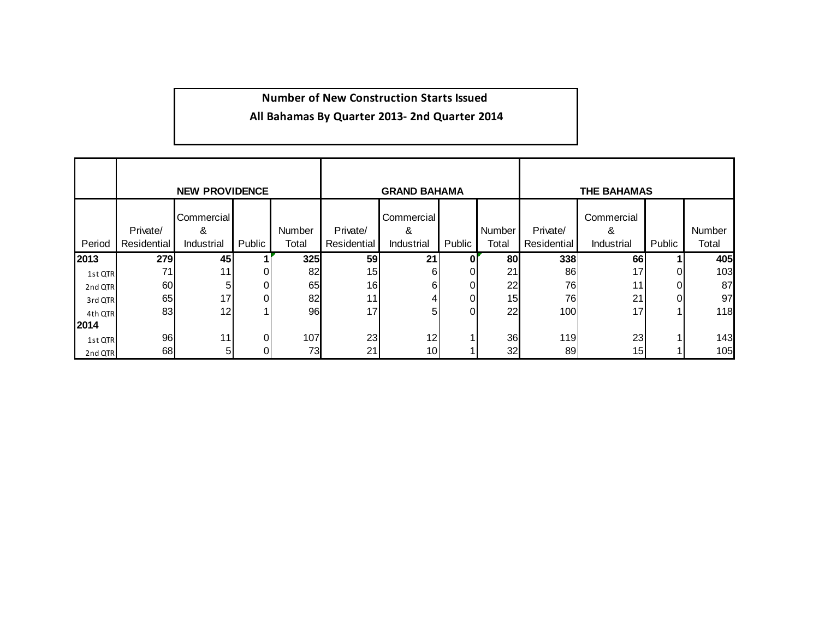#### **Number of New Construction Starts Issued**

#### **All Bahamas By Quarter 2013‐ 2nd Quarter 2014**

|         |             | <b>NEW PROVIDENCE</b> |        |        |                 | <b>GRAND BAHAMA</b> |        |       | <b>THE BAHAMAS</b> |                 |        |        |  |  |
|---------|-------------|-----------------------|--------|--------|-----------------|---------------------|--------|-------|--------------------|-----------------|--------|--------|--|--|
|         | Private/    | Commercial<br>&       |        | Number | Private/        | Commercial<br>&     | Number |       | Private/           | Commercial<br>& |        | Number |  |  |
| Period  | Residential | Industrial            | Public | Total  | Residential     | Industrial          | Public | Total | Residential        | Industrial      | Public | Total  |  |  |
| 2013    | 279         | 45                    |        | 325    | 59              | 21                  |        | 80    | 338                | 66              |        | 405    |  |  |
| 1st QTR | 71          | 11                    |        | 82     | 15 <sub>l</sub> | 6                   |        | 21    | 86                 | 17              |        | 103    |  |  |
| 2nd QTR | 60          | 51                    |        | 65     | 16              | 61                  |        | 22    | 76                 |                 |        | 87     |  |  |
| 3rd QTR | 65          | 17                    |        | 82     | 11 <sub>1</sub> |                     | 0      | 15    | 76                 | 21              | ΩI     | 97     |  |  |
| 4th QTR | 83          | 12                    |        | 96     | 17              | 5                   |        | 22    | 100                | 17              |        | 118    |  |  |
| 2014    |             |                       |        |        |                 |                     |        |       |                    |                 |        |        |  |  |
| 1st QTR | 96          | 111                   |        | 107    | 23              | 12                  |        | 36    | 119                | 23              |        | 143    |  |  |
| 2nd QTR | 68          | 5                     |        | 73     | 21              | 10                  |        | 32    | 89                 | 15 <sub>l</sub> |        | 105    |  |  |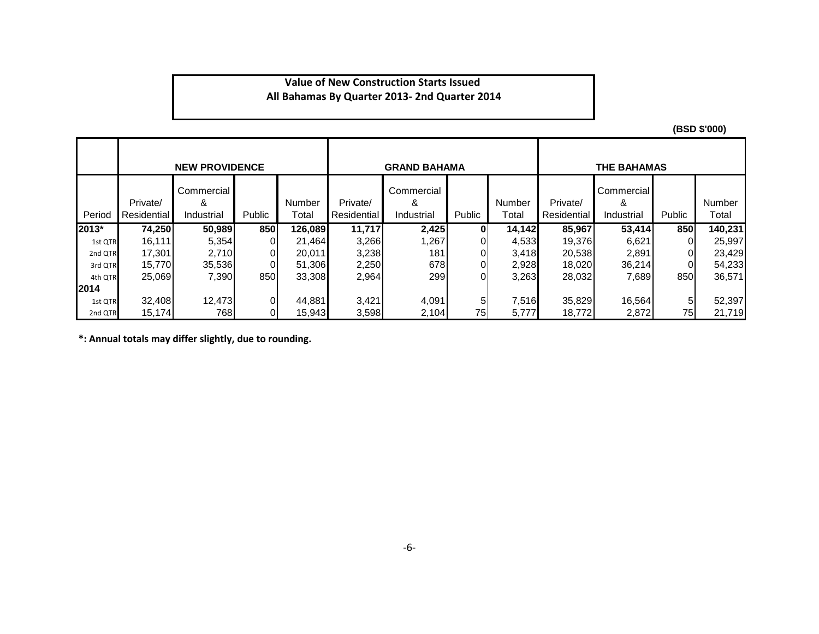#### **All Bahamas By Quarter 2013‐ 2nd Quarter 2014 Value of New Construction Starts Issued**

**(BSD \$'000)**

|         |                         | <b>NEW PROVIDENCE</b>         |                |                 |                         | <b>GRAND BAHAMA</b>           |        |                        | <b>THE BAHAMAS</b>      |                               |        |                 |  |  |
|---------|-------------------------|-------------------------------|----------------|-----------------|-------------------------|-------------------------------|--------|------------------------|-------------------------|-------------------------------|--------|-----------------|--|--|
| Period  | Private/<br>Residential | Commercial<br>&<br>Industrial | Public         | Number<br>Гоtal | Private/<br>Residential | Commercial<br>&<br>Industrial | Public | <b>Number</b><br>Total | Private/<br>Residential | Commercial<br>&<br>Industrial | Public | Number<br>Total |  |  |
| 2013*   | 74,250                  | 50,989                        | 850            | 126,089         | 11,717                  | 2,425                         | 0      | 14,142                 | 85,967                  | 53,414                        | 850    | 140,231         |  |  |
| 1st QTR | 16,111                  | 5,354                         | $\overline{0}$ | 21,464          | 3,266                   | 1,267                         | 01     | 4,533                  | 19.376                  | 6,621                         | 01     | 25,997          |  |  |
| 2nd QTR | 17,301                  | 2,710                         | 01             | 20,011          | 3,238                   | 181                           |        | 3,418                  | 20,538                  | 2,891                         |        | 23,429          |  |  |
| 3rd QTR | 15,770                  | 35,536                        | 01             | 51,306          | 2,250                   | 678                           | 01     | 2,928                  | 18.020                  | 36,214                        | 01     | 54,233          |  |  |
| 4th QTR | 25,069                  | 7,390                         | 850            | 33,308          | 2,964                   | 299                           |        | 3,263                  | 28,032                  | 7,689                         | 850    | 36,571          |  |  |
| 12014   |                         |                               |                |                 |                         |                               |        |                        |                         |                               |        |                 |  |  |
| 1st QTR | 32,408                  | 12,473                        | Οl             | 44,881          | 3,421                   | 4,091                         | 5      | 7,516                  | 35,829                  | 16,564                        | 51     | 52,397          |  |  |
| 2nd QTR | 15,174                  | 768                           | 01             | 15,943          | 3,598                   | 2,104                         | 75     | 5,777                  | 18,772                  | 2,872                         | 75     | 21,719          |  |  |

**\*: Annual totals may differ slightly, due to rounding.**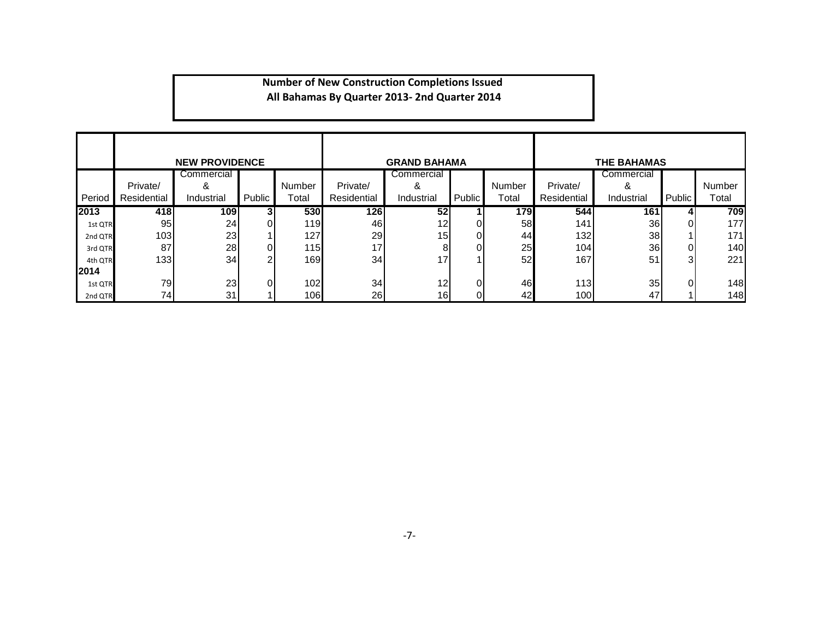#### **Number of New Construction Completions Issued All Bahamas By Quarter 2013‐ 2nd Quarter 2014**

|         |             | <b>NEW PROVIDENCE</b> |        |            |             | <b>GRAND BAHAMA</b> |          |           |             | <b>THE BAHAMAS</b> |        |        |
|---------|-------------|-----------------------|--------|------------|-------------|---------------------|----------|-----------|-------------|--------------------|--------|--------|
|         |             | Commercial            |        |            | Commercial  |                     |          |           |             | Commercial         |        |        |
|         | Private/    | &                     |        | Number     | Private/    | &                   |          | Number    | Private/    | &                  |        | Number |
| Period  | Residential | Industrial            | Public | Total      | Residential | Industrial          | Public   | Total     | Residential | Industrial         | Public | Total  |
| 2013    | 418         | 109                   |        | <b>530</b> | 126         | 52 <sub>l</sub>     |          | 179       | 544         | 161                |        | 709    |
| 1st QTR | 95          | 24 <sub>1</sub>       |        | 119        | 46          | 12I                 | Οl       | <b>58</b> | 141         | 36                 |        | 177    |
| 2nd QTR | 103         | 23                    |        | 127        | 29          | 15I                 | Οl       | 44        | 132         | 38                 |        | 171    |
| 3rd QTR | 87          | 28                    |        | 115        | 17          |                     | n١       | 25        | 104         | 36 <sub>1</sub>    |        | 140    |
| 4th QTR | 133         | 34                    |        | 169        | 34          | 17                  |          | 52        | 167         | 51                 |        | 221    |
| 2014    |             |                       |        |            |             |                     |          |           |             |                    |        |        |
| 1st QTR | 79          | 23                    |        | 102        | 34          | 12 <sup>1</sup>     | $\Omega$ | 46        | 113         | 35                 |        | 148    |
| 2nd QTR | 74          | 31                    |        | 106        | 26          | 16I                 | Οl       | 42        | 100         | 47                 |        | 148    |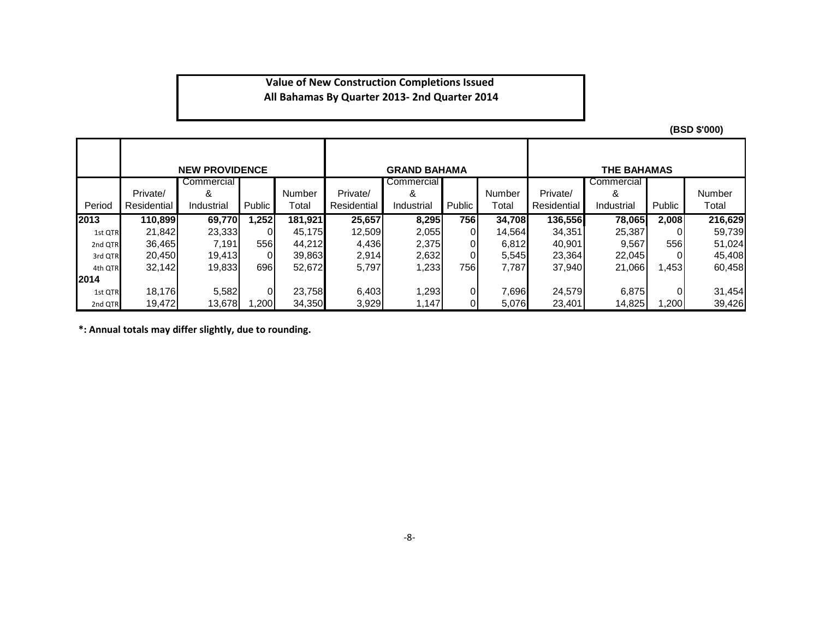#### **Value of New Construction Completions Issued All Bahamas By Quarter 2013‐ 2nd Quarter 2014**

**(BSD \$'000)**

|              |             | <b>NEW PROVIDENCE</b> |                |         |             | <b>GRAND BAHAMA</b> |        |        |             | <b>THE BAHAMAS</b> |          |         |
|--------------|-------------|-----------------------|----------------|---------|-------------|---------------------|--------|--------|-------------|--------------------|----------|---------|
|              |             | Commercial I          |                |         |             | Commercial I        |        |        |             | Commercial I       |          |         |
|              | Private/    | &                     |                | Number  | Private/    | &                   |        | Number | Private/    | &                  |          | Number  |
| Period       | Residential | Industrial            | Public         | Total   | Residential | Industrial          | Public | Total  | Residential | Industrial         | Public   | Total   |
| 2013         | 110,899     | 69,770                | 1,252          | 181,921 | 25,657      | 8,295               | 756    | 34,708 | 136,556     | 78,065             | 2,008    | 216,629 |
| 1st QTR      | 21.842      | 23,333                | $\Omega$       | 45.175  | 12,509      | 2,055               | 01     | 14,564 | 34,351      | 25,387             |          | 59,739  |
| 2nd QTR      | 36,465      | 7,191                 | 556 <b>1</b>   | 44,212  | 4,436       | 2,375               | 01     | 6,812  | 40,901      | 9,567              | 556I     | 51,024  |
| 3rd QTR      | 20.450      | 19,413                | $\Omega$       | 39,863  | 2,914       | 2,632               | 0      | 5,545  | 23,364      | 22,045             |          | 45,408  |
| 4th QTR      | 32,142      | 19,833                | 696            | 52,672  | 5,797       | 1,233               | 756    | 7,787  | 37,940      | 21,066             | .453     | 60,458  |
| <b>12014</b> |             |                       |                |         |             |                     |        |        |             |                    |          |         |
| 1st QTR      | 18,176      | 5,582                 | $\overline{0}$ | 23,758  | 6,403       | 1,293               | 0      | 7,696  | 24,579      | 6,875              | $\Omega$ | 31,454  |
| 2nd QTR      | 19.472      | 13,678                | 200. ا         | 34,350  | 3,929       | 1,147               | 01     | 5,076  | 23,401      | 14,825             | .200     | 39,426  |

**\*: Annual totals may differ slightly, due to rounding.**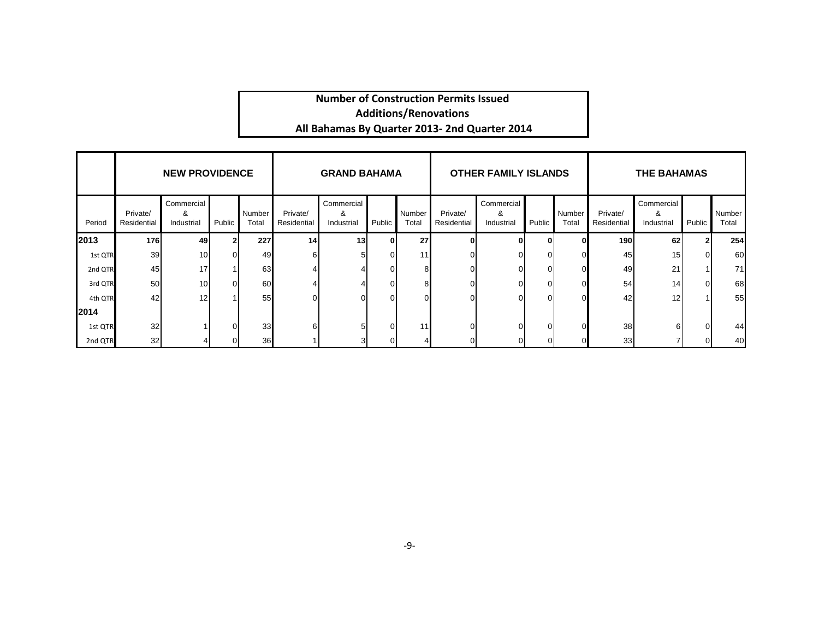#### **Number of Construction Permits Issued All Bahamas By Quarter 2013‐ 2nd Quarter 2014 Additions/Renovations**

|         | <b>NEW PROVIDENCE</b><br>Commercial |                 |        |                 |                         | <b>GRAND BAHAMA</b>           |        | <b>OTHER FAMILY ISLANDS</b> |                         |                               |        | <b>THE BAHAMAS</b> |                         |                               |              |                 |
|---------|-------------------------------------|-----------------|--------|-----------------|-------------------------|-------------------------------|--------|-----------------------------|-------------------------|-------------------------------|--------|--------------------|-------------------------|-------------------------------|--------------|-----------------|
| Period  | Private/<br>Residential             | &<br>Industrial | Public | Number<br>Total | Private/<br>Residential | Commercial<br>&<br>Industrial | Public | Number<br>Total             | Private/<br>Residential | Commercial<br>&<br>Industrial | Public | Number<br>Total    | Private/<br>Residential | Commercial<br>&<br>Industrial | Public       | Number<br>Total |
| 2013    | <b>176</b>                          | 49              |        | 227             | 14                      | 13 <sup>l</sup>               |        | 27                          |                         |                               |        |                    | <b>190</b>              | 62                            | $\mathbf{2}$ | 254             |
| 1st QTR | 39                                  | 10              |        | 49              |                         |                               |        | 11                          |                         |                               |        |                    | 45                      | 15                            | $\Omega$     | 60              |
| 2nd QTR | 45                                  | 17              |        | 63              |                         |                               |        |                             |                         |                               |        |                    | 49                      | 21                            |              | 71              |
| 3rd QTR | 50 <sup>1</sup>                     | 10 <sup>1</sup> |        | 60              |                         |                               |        |                             |                         |                               |        |                    | 54                      | 14                            | $\Omega$     | 68              |
| 4th QTR | 42                                  | 12              |        | 55              |                         | U                             |        |                             |                         |                               |        |                    | 42                      | 12                            |              | 55              |
| 2014    |                                     |                 |        |                 |                         |                               |        |                             |                         |                               |        |                    |                         |                               |              |                 |
| 1st QTR | 32                                  |                 |        | 33              | 61                      | 5                             |        | 11                          |                         |                               | n      |                    | 38                      |                               | $\Omega$     | 44              |
| 2nd QTR | 32                                  |                 |        | 36              |                         | 31                            |        |                             |                         |                               |        |                    | 33                      |                               | $\Omega$     | 40              |